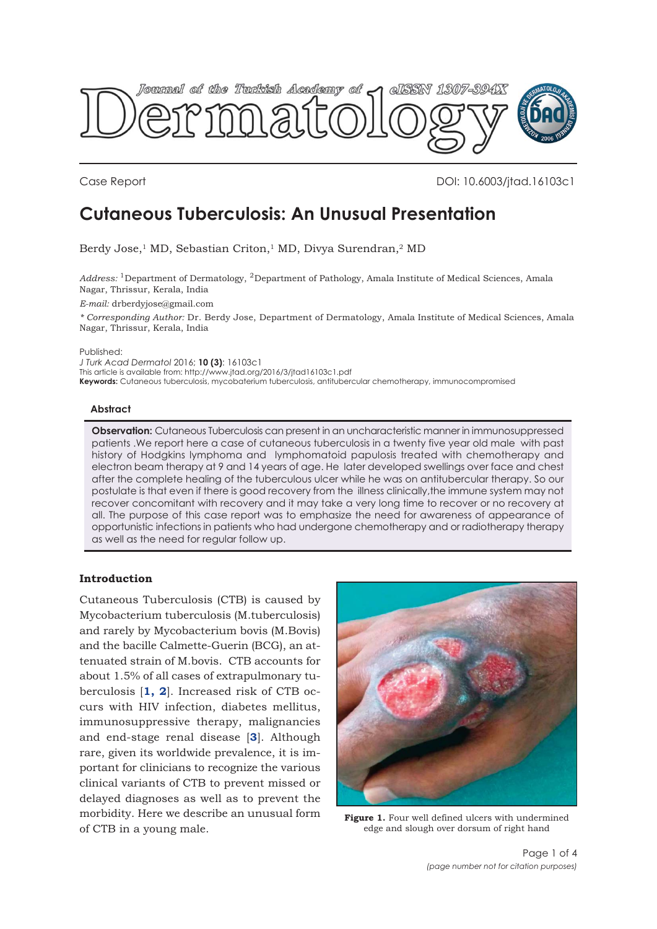<span id="page-0-0"></span>

Case Report DOI: 10.6003/jtad.16103c1

# **Cutaneous Tuberculosis: An Unusual Presentation**

Berdy Jose,<sup>1</sup> MD, Sebastian Criton,<sup>1</sup> MD, Divya Surendran,<sup>2</sup> MD

*Address:* 1Department of Dermatology, 2Department of Pathology, Amala Institute of Medical Sciences, Amala Nagar, Thrissur, Kerala, India

*E-mail:* drberdyjose@gmail.com

*\* Corresponding Author:* Dr. Berdy Jose, Department of Dermatology, Amala Institute of Medical Sciences, Amala Nagar, Thrissur, Kerala, India

Published:

*J Turk Acad Dermatol* 2016; **10 (3)**: 16103c1

This article is available from: http://www.jtad.org/2016/3/jtad16103c1.pdf

**Keywords:** Cutaneous tuberculosis, mycobaterium tuberculosis, antitubercular chemotherapy, immunocompromised

## **Abstract**

**Observation:** Cutaneous Tuberculosis can present in an uncharacteristic manner in immunosuppressed patients .We report here a case of cutaneous tuberculosis in a twenty five year old male with past history of Hodgkins lymphoma and lymphomatoid papulosis treated with chemotherapy and electron beam therapy at 9 and 14 years of age. He later developed swellings over face and chest after the complete healing of the tuberculous ulcer while he was on antitubercular therapy. So our postulate is that even if there is good recovery from the illness clinically,the immune system may not recover concomitant with recovery and it may take a very long time to recover or no recovery at all. The purpose of this case report was to emphasize the need for awareness of appearance of opportunistic infections in patients who had undergone chemotherapy and or radiotherapy therapy as well as the need for regular follow up.

## **Introduction**

Cutaneous Tuberculosis (CTB) is caused by Mycobacterium tuberculosis (M.tuberculosis) and rarely by Mycobacterium bovis (M.Bovis) and the bacille Calmette-Guerin (BCG), an attenuated strain of M.bovis. CTB accounts for about 1.5% of all cases of extrapulmonary tuberculosis [**[1,](#page-2-0) [2](#page-3-0)**]. Increased risk of CTB occurs with HIV infection, diabetes mellitus, immunosuppressive therapy, malignancies and end-stage renal disease [**[3](#page-3-0)**]. Although rare, given its worldwide prevalence, it is important for clinicians to recognize the various clinical variants of CTB to prevent missed or delayed diagnoses as well as to prevent the morbidity. Here we describe an unusual form of CTB in a young male.



**Figure 1.** Four well defined ulcers with undermined edge and slough over dorsum of right hand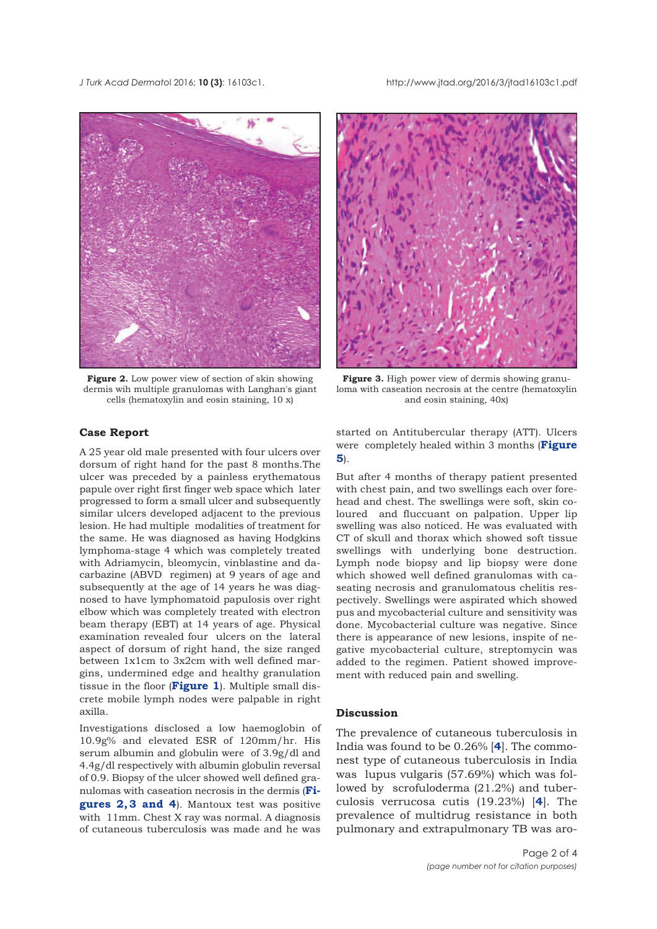*J Turk Acad Dermato*l 2016; **10 (3)**: 16103c1. http://www.jtad.org/2016/3/jtad16103c1.pdf



**Figure 2.** Low power view of section of skin showing dermis wih multiple granulomas with Langhan's giant cells (hematoxylin and eosin staining, 10 x)



A 25 year old male presented with four ulcers over dorsum of right hand for the past 8 months.The ulcer was preceded by a painless erythematous papule over right first finger web space which later progressed to form a small ulcer and subsequently similar ulcers developed adjacent to the previous lesion. He had multiple modalities of treatment for the same. He was diagnosed as having Hodgkins lymphoma-stage 4 which was completely treated with Adriamycin, bleomycin, vinblastine and dacarbazine (ABVD regimen) at 9 years of age and subsequently at the age of 14 years he was diagnosed to have lymphomatoid papulosis over right elbow which was completely treated with electron beam therapy (EBT) at 14 years of age. Physical examination revealed four ulcers on the lateral aspect of dorsum of right hand, the size ranged between 1x1cm to 3x2cm with well defined margins, undermined edge and healthy granulation tissue in the floor (**[Figure 1](#page-0-0)**). Multiple small discrete mobile lymph nodes were palpable in right axilla.

Investigations disclosed a low haemoglobin of 10.9g% and elevated ESR of 120mm/hr. His serum albumin and globulin were of 3.9g/dl and 4.4g/dl respectively with albumin globulin reversal of 0.9. Biopsy of the ulcer showed well defined granulomas with caseation necrosis in the dermis (**Figures 2, 3 and [4](#page-3-0)**). Mantoux test was positive with 11mm. Chest X ray was normal. A diagnosis of cutaneous tuberculosis was made and he was



**Figure 3.** High power view of dermis showing granuloma with caseation necrosis at the centre (hematoxylin and eosin staining, 40x)

started on Antitubercular therapy (ATT). Ulcers [were completely healed within 3 months \(](#page-2-0)**Figure 5**).

But after 4 months of therapy patient presented with chest pain, and two swellings each over forehead and chest. The swellings were soft, skin coloured and fluccuant on palpation. Upper lip swelling was also noticed. He was evaluated with CT of skull and thorax which showed soft tissue swellings with underlying bone destruction. Lymph node biopsy and lip biopsy were done which showed well defined granulomas with caseating necrosis and granulomatous chelitis respectively. Swellings were aspirated which showed pus and mycobacterial culture and sensitivity was done. Mycobacterial culture was negative. Since there is appearance of new lesions, inspite of negative mycobacterial culture, streptomycin was added to the regimen. Patient showed improvement with reduced pain and swelling.

### **Discussion**

The prevalence of cutaneous tuberculosis in India was found to be 0.26% [**[4](#page-3-0)**]. The commonest type of cutaneous tuberculosis in India was lupus vulgaris (57.69%) which was followed by scrofuloderma (21.2%) and tuberculosis verrucosa cutis (19.23%) [**[4](#page-3-0)**]. The prevalence of multidrug resistance in both pulmonary and extrapulmonary TB was aro-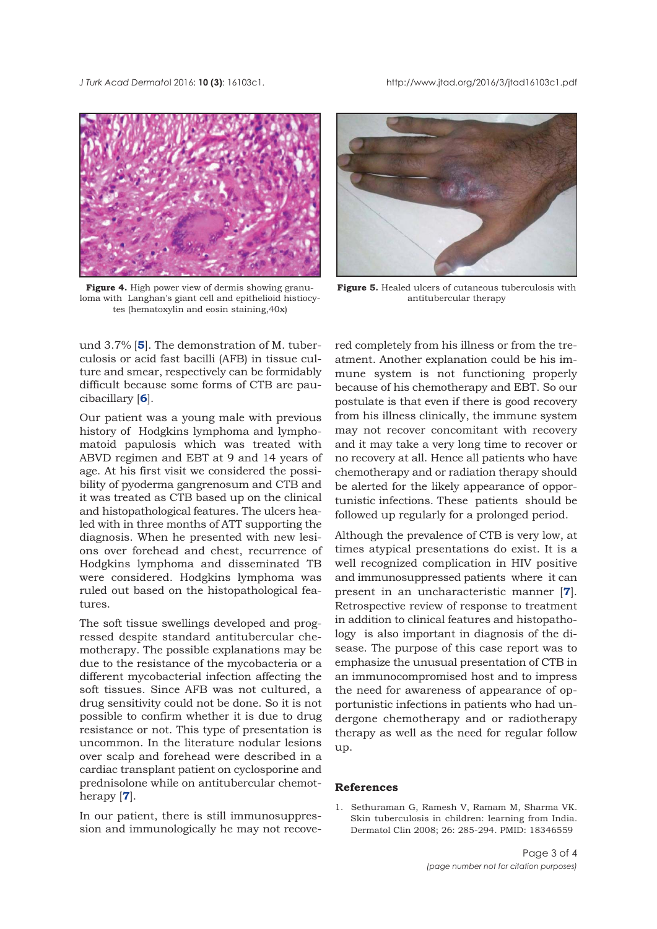<span id="page-2-0"></span>*J Turk Acad Dermato*l 2016; **10 (3)**: 16103c1. http://www.jtad.org/2016/3/jtad16103c1.pdf



**Figure 4.** High power view of dermis showing granuloma with Langhan's giant cell and epithelioid histiocytes (hematoxylin and eosin staining,40x)

und 3.7% [**[5](#page-3-0)**]. The demonstration of M. tuberculosis or acid fast bacilli (AFB) in tissue culture and smear, respectively can be formidably difficult because some forms of CTB are paucibacillary [**[6](#page-3-0)**].

Our patient was a young male with previous history of Hodgkins lymphoma and lymphomatoid papulosis which was treated with ABVD regimen and EBT at 9 and 14 years of age. At his first visit we considered the possibility of pyoderma gangrenosum and CTB and it was treated as CTB based up on the clinical and histopathological features. The ulcers healed with in three months of ATT supporting the diagnosis. When he presented with new lesions over forehead and chest, recurrence of Hodgkins lymphoma and disseminated TB were considered. Hodgkins lymphoma was ruled out based on the histopathological features.

The soft tissue swellings developed and progressed despite standard antitubercular chemotherapy. The possible explanations may be due to the resistance of the mycobacteria or a different mycobacterial infection affecting the soft tissues. Since AFB was not cultured, a drug sensitivity could not be done. So it is not possible to confirm whether it is due to drug resistance or not. This type of presentation is uncommon. In the literature nodular lesions over scalp and forehead were described in a cardiac transplant patient on cyclosporine and prednisolone while on antitubercular chemotherapy [**[7](#page-3-0)**].

In our patient, there is still immunosuppression and immunologically he may not recove-



**Figure 5.** Healed ulcers of cutaneous tuberculosis with antitubercular therapy

red completely from his illness or from the treatment. Another explanation could be his immune system is not functioning properly because of his chemotherapy and EBT. So our postulate is that even if there is good recovery from his illness clinically, the immune system may not recover concomitant with recovery and it may take a very long time to recover or no recovery at all. Hence all patients who have chemotherapy and or radiation therapy should be alerted for the likely appearance of opportunistic infections. These patients should be followed up regularly for a prolonged period.

Although the prevalence of CTB is very low, at times atypical presentations do exist. It is a well recognized complication in HIV positive and immunosuppressed patients where it can present in an uncharacteristic manner [**[7](#page-3-0)**]. Retrospective review of response to treatment in addition to clinical features and histopathology is also important in diagnosis of the disease. The purpose of this case report was to emphasize the unusual presentation of CTB in an immunocompromised host and to impress the need for awareness of appearance of opportunistic infections in patients who had undergone chemotherapy and or radiotherapy therapy as well as the need for regular follow up.

#### **References**

1. Sethuraman G, Ramesh V, Ramam M, Sharma VK. Skin tuberculosis in children: learning from India. Dermatol Clin 2008; 26: 285-294. PMID: 18346559